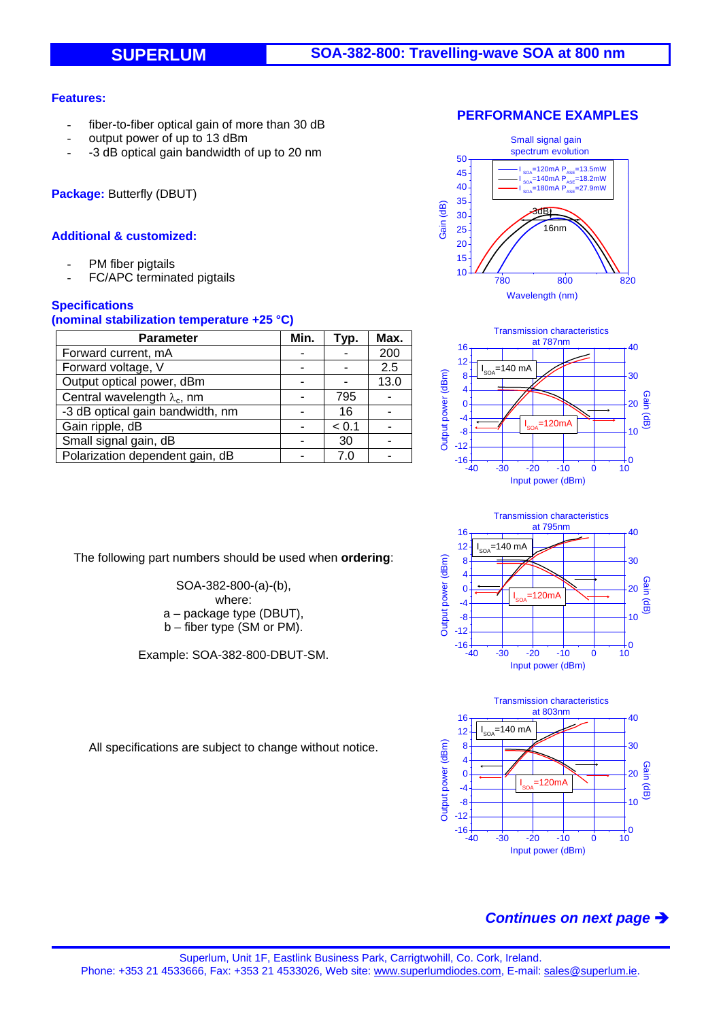## **Features:**

- fiber-to-fiber optical gain of more than 30 dB
- output power of up to 13 dBm
- -3 dB optical gain bandwidth of up to 20 nm

**Package:** Butterfly (DBUT)

## **Additional & customized:**

- PM fiber pigtails
- FC/APC terminated pigtails

## **Specifications**

#### **(nominal stabilization temperature +25 °C)**

| <b>Parameter</b>                    | Min. | Typ.  | Max. |
|-------------------------------------|------|-------|------|
| Forward current, mA                 |      |       | 200  |
| Forward voltage, V                  |      |       | 2.5  |
| Output optical power, dBm           |      |       | 13.0 |
| Central wavelength $\lambda_c$ , nm |      | 795   |      |
| -3 dB optical gain bandwidth, nm    |      | 16    |      |
| Gain ripple, dB                     |      | < 0.1 |      |
| Small signal gain, dB               |      | 30    |      |
| Polarization dependent gain, dB     |      | 7 C   |      |

The following part numbers should be used when **ordering**:

SOA-382-800-(a)-(b), where: a – package type (DBUT), b – fiber type (SM or PM).

Example: SOA-382-800-DBUT-SM.





Transmission characteristics at 795nm 16 40 12  $=$ 140 mA I Output power (dBm) 8 30 Output power (dBm) 4 Gain (dB)  $\mathbf{0}$ 20  $-120m$ I -4 -8  $10$ -12  $-16 +$ <br> $-40$  $\frac{1}{10}$ -40 -30 -20 -10 0 10 Input power (dBm)



All specifications are subject to change without notice.

# *Continues on next page*

### **PERFORMANCE EXAMPLES**